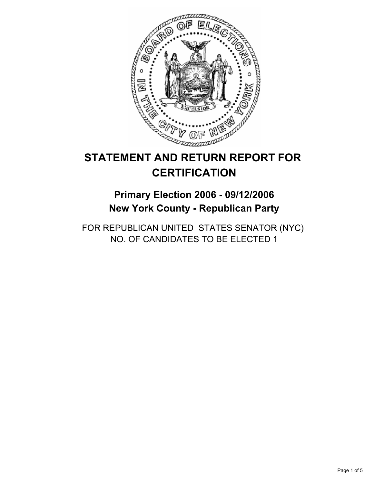

# **STATEMENT AND RETURN REPORT FOR CERTIFICATION**

**Primary Election 2006 - 09/12/2006 New York County - Republican Party**

FOR REPUBLICAN UNITED STATES SENATOR (NYC) NO. OF CANDIDATES TO BE ELECTED 1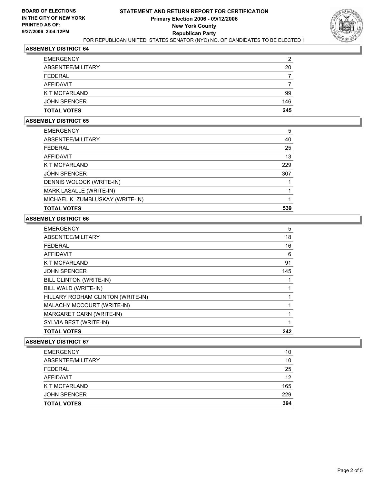

### **ASSEMBLY DISTRICT 64**

| <b>TOTAL VOTES</b>  | 245 |
|---------------------|-----|
| <b>JOHN SPENCER</b> | 146 |
| K T MCFARLAND       | 99  |
| <b>AFFIDAVIT</b>    |     |
| <b>FEDERAL</b>      |     |
| ABSENTEE/MILITARY   | 20  |
| <b>EMERGENCY</b>    | ົ   |

#### **ASSEMBLY DISTRICT 65**

| 5   |
|-----|
| 40  |
| 25  |
| 13  |
| 229 |
| 307 |
|     |
|     |
|     |
| 539 |
|     |

## **ASSEMBLY DISTRICT 66**

| <b>EMERGENCY</b>                  | 5   |
|-----------------------------------|-----|
| ABSENTEE/MILITARY                 | 18  |
| <b>FEDERAL</b>                    | 16  |
| <b>AFFIDAVIT</b>                  | 6   |
| K T MCFARLAND                     | 91  |
| <b>JOHN SPENCER</b>               | 145 |
| BILL CLINTON (WRITE-IN)           |     |
| BILL WALD (WRITE-IN)              |     |
| HILLARY RODHAM CLINTON (WRITE-IN) |     |
| MALACHY MCCOURT (WRITE-IN)        |     |
| MARGARET CARN (WRITE-IN)          |     |
| SYLVIA BEST (WRITE-IN)            |     |
| <b>TOTAL VOTES</b>                | 242 |
|                                   |     |

### **ASSEMBLY DISTRICT 67**

| <b>EMERGENCY</b>    | 10  |
|---------------------|-----|
| ABSENTEE/MILITARY   | 10  |
| FEDERAL             | 25  |
| AFFIDAVIT           | 12  |
| K T MCFARLAND       | 165 |
| <b>JOHN SPENCER</b> | 229 |
| <b>TOTAL VOTES</b>  | 394 |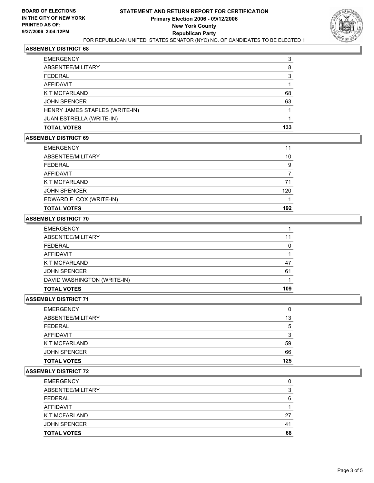

### **ASSEMBLY DISTRICT 68**

| <b>TOTAL VOTES</b>             | 133 |
|--------------------------------|-----|
| JUAN ESTRELLA (WRITE-IN)       |     |
| HENRY JAMES STAPLES (WRITE-IN) |     |
| <b>JOHN SPENCER</b>            | 63  |
| K T MCFARLAND                  | 68  |
| <b>AFFIDAVIT</b>               |     |
| <b>FEDERAL</b>                 |     |
| ABSENTEE/MILITARY              | 8   |
| <b>EMERGENCY</b>               | ว   |

### **ASSEMBLY DISTRICT 69**

| <b>EMERGENCY</b>         |     |
|--------------------------|-----|
| ABSENTEE/MILITARY        | 10  |
| <b>FEDERAL</b>           | 9   |
| AFFIDAVIT                |     |
| K T MCFARLAND            | 71  |
| <b>JOHN SPENCER</b>      | 120 |
| EDWARD F. COX (WRITE-IN) |     |
| <b>TOTAL VOTES</b>       | 192 |

### **ASSEMBLY DISTRICT 70**

| <b>EMERGENCY</b>            |     |
|-----------------------------|-----|
| ABSENTEE/MILITARY           |     |
| <b>FEDERAL</b>              |     |
| AFFIDAVIT                   |     |
| <b>K T MCFARLAND</b>        | 47  |
| <b>JOHN SPENCER</b>         | 61  |
| DAVID WASHINGTON (WRITE-IN) |     |
| <b>TOTAL VOTES</b>          | 109 |

### **ASSEMBLY DISTRICT 71**

| <b>TOTAL VOTES</b>  | 125 |
|---------------------|-----|
| <b>JOHN SPENCER</b> | 66  |
| K T MCFARLAND       | 59  |
| AFFIDAVIT           |     |
| <b>FEDERAL</b>      | b   |
| ABSENTEE/MILITARY   | 13  |
| <b>EMERGENCY</b>    | C   |

### **ASSEMBLY DISTRICT 72**

| <b>TOTAL VOTES</b>  | 68             |
|---------------------|----------------|
| <b>JOHN SPENCER</b> | 4 <sup>1</sup> |
| K T MCFARLAND       | 27             |
| AFFIDAVIT           |                |
| <b>FEDERAL</b>      |                |
| ABSENTEE/MILITARY   |                |
| <b>EMERGENCY</b>    |                |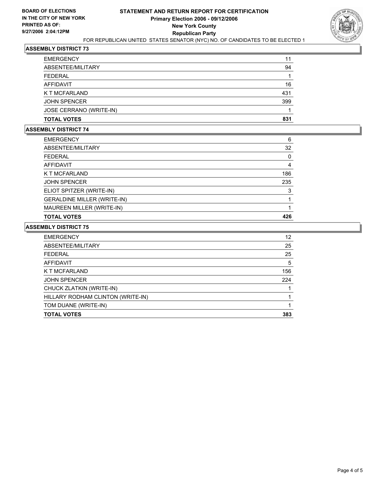

### **ASSEMBLY DISTRICT 73**

| <b>TOTAL VOTES</b>      | 831 |
|-------------------------|-----|
| JOSE CERRANO (WRITE-IN) |     |
| <b>JOHN SPENCER</b>     | 399 |
| K T MCFARLAND           | 431 |
| AFFIDAVIT               | 16  |
| <b>FEDERAL</b>          |     |
| ABSENTEE/MILITARY       | 94  |
| <b>EMERGENCY</b>        |     |

### **ASSEMBLY DISTRICT 74**

| <b>EMERGENCY</b>                   | 6   |
|------------------------------------|-----|
| ABSENTEE/MILITARY                  | 32  |
| <b>FEDERAL</b>                     |     |
| <b>AFFIDAVIT</b>                   |     |
| K T MCFARLAND                      | 186 |
| <b>JOHN SPENCER</b>                | 235 |
| ELIOT SPITZER (WRITE-IN)           | 3   |
| <b>GERALDINE MILLER (WRITE-IN)</b> |     |
| MAUREEN MILLER (WRITE-IN)          |     |
| <b>TOTAL VOTES</b>                 | 426 |

### **ASSEMBLY DISTRICT 75**

| <b>EMERGENCY</b>                  | 12  |
|-----------------------------------|-----|
| ABSENTEE/MILITARY                 | 25  |
| <b>FEDERAL</b>                    | 25  |
| AFFIDAVIT                         | 5   |
| K T MCFARLAND                     | 156 |
| <b>JOHN SPENCER</b>               | 224 |
| CHUCK ZLATKIN (WRITE-IN)          |     |
| HILLARY RODHAM CLINTON (WRITE-IN) |     |
| TOM DUANE (WRITE-IN)              |     |
| <b>TOTAL VOTES</b>                | 383 |